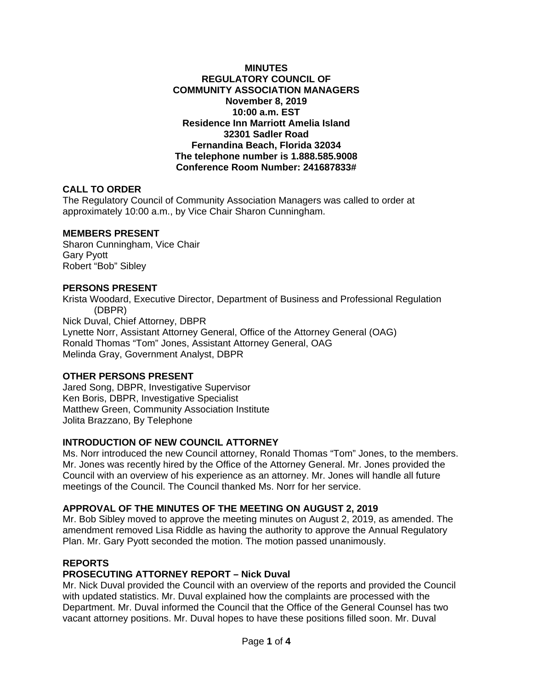#### **MINUTES REGULATORY COUNCIL OF COMMUNITY ASSOCIATION MANAGERS November 8, 2019 10:00 a.m. EST Residence Inn Marriott Amelia Island 32301 Sadler Road Fernandina Beach, Florida 32034 The telephone number is 1.888.585.9008 Conference Room Number: 241687833#**

### **CALL TO ORDER**

The Regulatory Council of Community Association Managers was called to order at approximately 10:00 a.m., by Vice Chair Sharon Cunningham.

### **MEMBERS PRESENT**

Sharon Cunningham, Vice Chair Gary Pyott Robert "Bob" Sibley

#### **PERSONS PRESENT**

Krista Woodard, Executive Director, Department of Business and Professional Regulation (DBPR) Nick Duval, Chief Attorney, DBPR Lynette Norr, Assistant Attorney General, Office of the Attorney General (OAG) Ronald Thomas "Tom" Jones, Assistant Attorney General, OAG Melinda Gray, Government Analyst, DBPR

### **OTHER PERSONS PRESENT**

Jared Song, DBPR, Investigative Supervisor Ken Boris, DBPR, Investigative Specialist Matthew Green, Community Association Institute Jolita Brazzano, By Telephone

### **INTRODUCTION OF NEW COUNCIL ATTORNEY**

Ms. Norr introduced the new Council attorney, Ronald Thomas "Tom" Jones, to the members. Mr. Jones was recently hired by the Office of the Attorney General. Mr. Jones provided the Council with an overview of his experience as an attorney. Mr. Jones will handle all future meetings of the Council. The Council thanked Ms. Norr for her service.

### **APPROVAL OF THE MINUTES OF THE MEETING ON AUGUST 2, 2019**

Mr. Bob Sibley moved to approve the meeting minutes on August 2, 2019, as amended. The amendment removed Lisa Riddle as having the authority to approve the Annual Regulatory Plan. Mr. Gary Pyott seconded the motion. The motion passed unanimously.

#### **REPORTS**

### **PROSECUTING ATTORNEY REPORT – Nick Duval**

Mr. Nick Duval provided the Council with an overview of the reports and provided the Council with updated statistics. Mr. Duval explained how the complaints are processed with the Department. Mr. Duval informed the Council that the Office of the General Counsel has two vacant attorney positions. Mr. Duval hopes to have these positions filled soon. Mr. Duval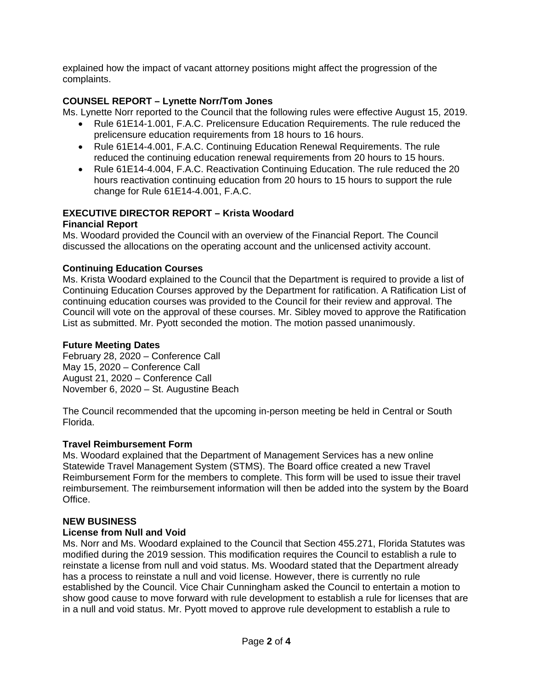explained how the impact of vacant attorney positions might affect the progression of the complaints.

# **COUNSEL REPORT – Lynette Norr/Tom Jones**

Ms. Lynette Norr reported to the Council that the following rules were effective August 15, 2019.

- Rule 61E14-1.001, F.A.C. Prelicensure Education Requirements. The rule reduced the prelicensure education requirements from 18 hours to 16 hours.
- Rule 61E14-4.001, F.A.C. Continuing Education Renewal Requirements. The rule reduced the continuing education renewal requirements from 20 hours to 15 hours.
- Rule 61E14-4.004, F.A.C. Reactivation Continuing Education. The rule reduced the 20 hours reactivation continuing education from 20 hours to 15 hours to support the rule change for Rule 61E14-4.001, F.A.C.

# **EXECUTIVE DIRECTOR REPORT – Krista Woodard**

# **Financial Report**

Ms. Woodard provided the Council with an overview of the Financial Report. The Council discussed the allocations on the operating account and the unlicensed activity account.

# **Continuing Education Courses**

Ms. Krista Woodard explained to the Council that the Department is required to provide a list of Continuing Education Courses approved by the Department for ratification. A Ratification List of continuing education courses was provided to the Council for their review and approval. The Council will vote on the approval of these courses. Mr. Sibley moved to approve the Ratification List as submitted. Mr. Pyott seconded the motion. The motion passed unanimously.

# **Future Meeting Dates**

February 28, 2020 – Conference Call May 15, 2020 – Conference Call August 21, 2020 – Conference Call November 6, 2020 – St. Augustine Beach

The Council recommended that the upcoming in-person meeting be held in Central or South Florida.

# **Travel Reimbursement Form**

Ms. Woodard explained that the Department of Management Services has a new online Statewide Travel Management System (STMS). The Board office created a new Travel Reimbursement Form for the members to complete. This form will be used to issue their travel reimbursement. The reimbursement information will then be added into the system by the Board Office.

# **NEW BUSINESS**

# **License from Null and Void**

Ms. Norr and Ms. Woodard explained to the Council that Section 455.271, Florida Statutes was modified during the 2019 session. This modification requires the Council to establish a rule to reinstate a license from null and void status. Ms. Woodard stated that the Department already has a process to reinstate a null and void license. However, there is currently no rule established by the Council. Vice Chair Cunningham asked the Council to entertain a motion to show good cause to move forward with rule development to establish a rule for licenses that are in a null and void status. Mr. Pyott moved to approve rule development to establish a rule to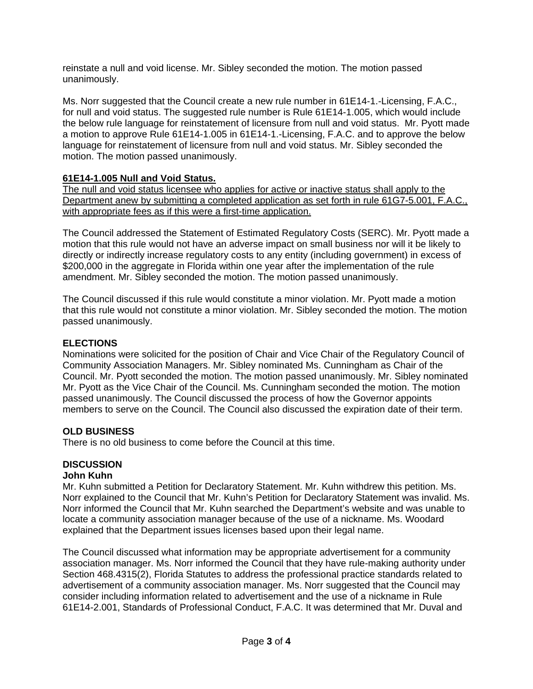reinstate a null and void license. Mr. Sibley seconded the motion. The motion passed unanimously.

Ms. Norr suggested that the Council create a new rule number in 61E14-1.-Licensing, F.A.C., for null and void status. The suggested rule number is Rule 61E14-1.005, which would include the below rule language for reinstatement of licensure from null and void status. Mr. Pyott made a motion to approve Rule 61E14-1.005 in 61E14-1.-Licensing, F.A.C. and to approve the below language for reinstatement of licensure from null and void status. Mr. Sibley seconded the motion. The motion passed unanimously.

# **61E14-1.005 Null and Void Status.**

The null and void status licensee who applies for active or inactive status shall apply to the Department anew by submitting a completed application as set forth in rule 61G7-5.001, F.A.C., with appropriate fees as if this were a first-time application.

The Council addressed the Statement of Estimated Regulatory Costs (SERC). Mr. Pyott made a motion that this rule would not have an adverse impact on small business nor will it be likely to directly or indirectly increase regulatory costs to any entity (including government) in excess of \$200,000 in the aggregate in Florida within one year after the implementation of the rule amendment. Mr. Sibley seconded the motion. The motion passed unanimously.

The Council discussed if this rule would constitute a minor violation. Mr. Pyott made a motion that this rule would not constitute a minor violation. Mr. Sibley seconded the motion. The motion passed unanimously.

# **ELECTIONS**

Nominations were solicited for the position of Chair and Vice Chair of the Regulatory Council of Community Association Managers. Mr. Sibley nominated Ms. Cunningham as Chair of the Council. Mr. Pyott seconded the motion. The motion passed unanimously. Mr. Sibley nominated Mr. Pyott as the Vice Chair of the Council. Ms. Cunningham seconded the motion. The motion passed unanimously. The Council discussed the process of how the Governor appoints members to serve on the Council. The Council also discussed the expiration date of their term.

# **OLD BUSINESS**

There is no old business to come before the Council at this time.

# **DISCUSSION**

# **John Kuhn**

Mr. Kuhn submitted a Petition for Declaratory Statement. Mr. Kuhn withdrew this petition. Ms. Norr explained to the Council that Mr. Kuhn's Petition for Declaratory Statement was invalid. Ms. Norr informed the Council that Mr. Kuhn searched the Department's website and was unable to locate a community association manager because of the use of a nickname. Ms. Woodard explained that the Department issues licenses based upon their legal name.

The Council discussed what information may be appropriate advertisement for a community association manager. Ms. Norr informed the Council that they have rule-making authority under Section 468.4315(2), Florida Statutes to address the professional practice standards related to advertisement of a community association manager. Ms. Norr suggested that the Council may consider including information related to advertisement and the use of a nickname in Rule 61E14-2.001, Standards of Professional Conduct, F.A.C. It was determined that Mr. Duval and